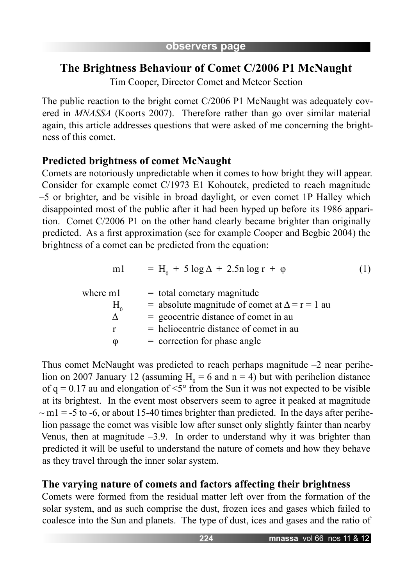# **The Brightness Behaviour of Comet C/2006 P1 McNaught**

Tim Cooper, Director Comet and Meteor Section

The public reaction to the bright comet C/2006 P1 McNaught was adequately covered in *MNASSA* (Koorts 2007). Therefore rather than go over similar material again, this article addresses questions that were asked of me concerning the brightness of this comet.

## **Predicted brightness of comet McNaught**

Comets are notoriously unpredictable when it comes to how bright they will appear. Consider for example comet C/1973 E1 Kohoutek, predicted to reach magnitude –5 or brighter, and be visible in broad daylight, or even comet 1P Halley which disappointed most of the public after it had been hyped up before its 1986 apparition. Comet C/2006 P1 on the other hand clearly became brighter than originally predicted. As a first approximation (see for example Cooper and Begbie 2004) the brightness of a comet can be predicted from the equation:

$$
m1 = H_0 + 5 \log \Delta + 2.5n \log r + \varphi \tag{1}
$$

| where m1<br>$H^{\prime}$ | $=$ total cometary magnitude<br>= absolute magnitude of comet at $\Delta = r = 1$ au |
|--------------------------|--------------------------------------------------------------------------------------|
|                          | $=$ geocentric distance of comet in au                                               |
|                          | $=$ heliocentric distance of comet in au                                             |
| O                        | $=$ correction for phase angle                                                       |

Thus comet McNaught was predicted to reach perhaps magnitude –2 near perihelion on 2007 January 12 (assuming  $H_0 = 6$  and  $n = 4$ ) but with perihelion distance of  $q = 0.17$  au and elongation of  $\leq 5^{\circ}$  from the Sun it was not expected to be visible at its brightest. In the event most observers seem to agree it peaked at magnitude  $\sim$  m1 = -5 to -6, or about 15-40 times brighter than predicted. In the days after perihelion passage the comet was visible low after sunset only slightly fainter than nearby Venus, then at magnitude  $-3.9$ . In order to understand why it was brighter than predicted it will be useful to understand the nature of comets and how they behave as they travel through the inner solar system.

## **The varying nature of comets and factors affecting their brightness**

Comets were formed from the residual matter left over from the formation of the solar system, and as such comprise the dust, frozen ices and gases which failed to coalesce into the Sun and planets. The type of dust, ices and gases and the ratio of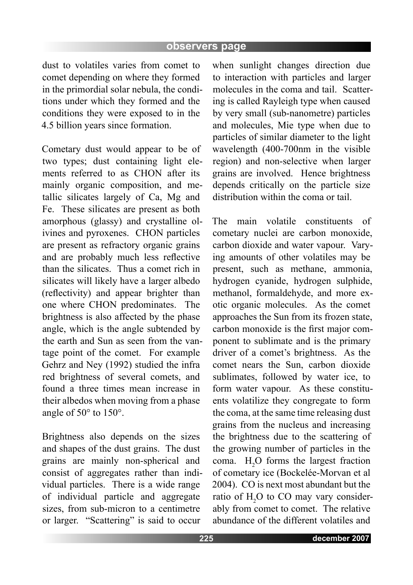#### **observers page**

dust to volatiles varies from comet to comet depending on where they formed in the primordial solar nebula, the conditions under which they formed and the conditions they were exposed to in the 4.5 billion years since formation.

Cometary dust would appear to be of two types; dust containing light elements referred to as CHON after its mainly organic composition, and metallic silicates largely of Ca, Mg and Fe. These silicates are present as both amorphous (glassy) and crystalline olivines and pyroxenes. CHON particles are present as refractory organic grains and are probably much less reflective than the silicates. Thus a comet rich in silicates will likely have a larger albedo (reflectivity) and appear brighter than one where CHON predominates. The brightness is also affected by the phase angle, which is the angle subtended by the earth and Sun as seen from the vantage point of the comet. For example Gehrz and Ney (1992) studied the infra red brightness of several comets, and found a three times mean increase in their albedos when moving from a phase angle of 50° to 150°.

Brightness also depends on the sizes and shapes of the dust grains. The dust grains are mainly non-spherical and consist of aggregates rather than individual particles. There is a wide range of individual particle and aggregate sizes, from sub-micron to a centimetre or larger. "Scattering" is said to occur

when sunlight changes direction due to interaction with particles and larger molecules in the coma and tail. Scattering is called Rayleigh type when caused by very small (sub-nanometre) particles and molecules, Mie type when due to particles of similar diameter to the light wavelength (400-700nm in the visible region) and non-selective when larger grains are involved. Hence brightness depends critically on the particle size distribution within the coma or tail.

The main volatile constituents of cometary nuclei are carbon monoxide, carbon dioxide and water vapour. Varying amounts of other volatiles may be present, such as methane, ammonia, hydrogen cyanide, hydrogen sulphide, methanol, formaldehyde, and more exotic organic molecules. As the comet approaches the Sun from its frozen state, carbon monoxide is the first major component to sublimate and is the primary driver of a comet's brightness. As the comet nears the Sun, carbon dioxide sublimates, followed by water ice, to form water vapour. As these constituents volatilize they congregate to form the coma, at the same time releasing dust grains from the nucleus and increasing the brightness due to the scattering of the growing number of particles in the coma.  $H_2O$  forms the largest fraction of cometary ice (Bockelée-Morvan et al 2004). CO is next most abundant but the ratio of  $H_2O$  to CO may vary considerably from comet to comet. The relative abundance of the different volatiles and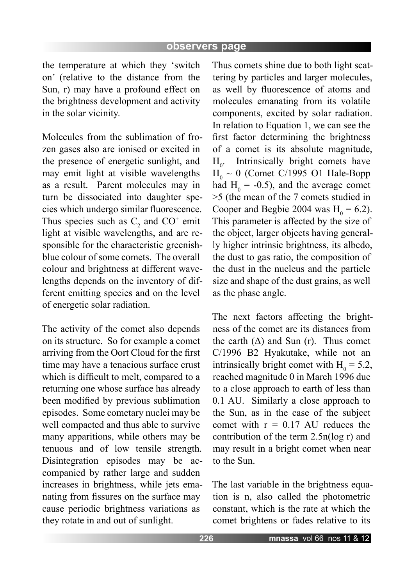the temperature at which they 'switch on' (relative to the distance from the Sun, r) may have a profound effect on the brightness development and activity in the solar vicinity.

Molecules from the sublimation of frozen gases also are ionised or excited in the presence of energetic sunlight, and may emit light at visible wavelengths as a result. Parent molecules may in turn be dissociated into daughter species which undergo similar fluorescence. Thus species such as  $C_2$  and  $CO^+$  emit light at visible wavelengths, and are responsible for the characteristic greenishblue colour of some comets. The overall colour and brightness at different wavelengths depends on the inventory of different emitting species and on the level of energetic solar radiation.

The activity of the comet also depends on its structure. So for example a comet arriving from the Oort Cloud for the first time may have a tenacious surface crust which is difficult to melt, compared to a returning one whose surface has already been modified by previous sublimation episodes. Some cometary nuclei may be well compacted and thus able to survive many apparitions, while others may be tenuous and of low tensile strength. Disintegration episodes may be accompanied by rather large and sudden increases in brightness, while jets emanating from fissures on the surface may cause periodic brightness variations as they rotate in and out of sunlight.

Thus comets shine due to both light scattering by particles and larger molecules, as well by fluorescence of atoms and molecules emanating from its volatile components, excited by solar radiation. In relation to Equation 1, we can see the first factor determining the brightness of a comet is its absolute magnitude,  $H_{\circ}$ . Intrinsically bright comets have  $H_0 \sim 0$  (Comet C/1995 O1 Hale-Bopp had  $H_0 = -0.5$ ), and the average comet >5 (the mean of the 7 comets studied in Cooper and Begbie 2004 was  $H_0 = 6.2$ ). This parameter is affected by the size of the object, larger objects having generally higher intrinsic brightness, its albedo, the dust to gas ratio, the composition of the dust in the nucleus and the particle size and shape of the dust grains, as well as the phase angle.

The next factors affecting the brightness of the comet are its distances from the earth  $(\Delta)$  and Sun (r). Thus comet C/1996 B2 Hyakutake, while not an intrinsically bright comet with  $H_0 = 5.2$ , reached magnitude 0 in March 1996 due to a close approach to earth of less than 0.1 AU. Similarly a close approach to the Sun, as in the case of the subject comet with  $r = 0.17$  AU reduces the contribution of the term 2.5n(log r) and may result in a bright comet when near to the Sun.

The last variable in the brightness equation is n, also called the photometric constant, which is the rate at which the comet brightens or fades relative to its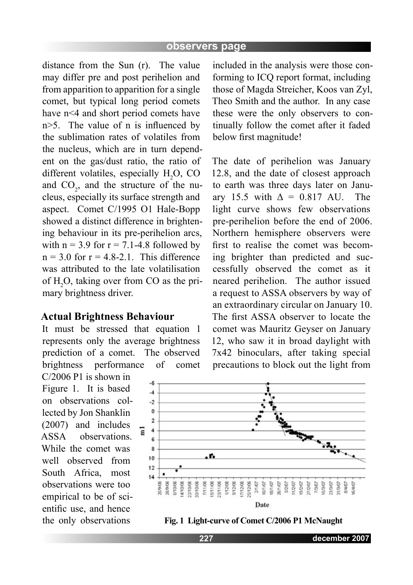distance from the Sun (r). The value may differ pre and post perihelion and from apparition to apparition for a single comet, but typical long period comets have n<4 and short period comets have n>5. The value of n is influenced by the sublimation rates of volatiles from the nucleus, which are in turn dependent on the gas/dust ratio, the ratio of different volatiles, especially  $H_2O$ , CO and  $CO_2$ , and the structure of the nucleus, especially its surface strength and aspect. Comet C/1995 O1 Hale-Bopp showed a distinct difference in brightening behaviour in its pre-perihelion arcs, with  $n = 3.9$  for  $r = 7.1 - 4.8$  followed by  $n = 3.0$  for  $r = 4.8-2.1$ . This difference was attributed to the late volatilisation of  $H_2O$ , taking over from CO as the primary brightness driver.

### **Actual Brightness Behaviour**

It must be stressed that equation 1 represents only the average brightness prediction of a comet. The observed brightness performance of comet

C/2006 P1 is shown in Figure 1. It is based on observations collected by Jon Shanklin (2007) and includes ASSA observations. While the comet was well observed from South Africa most observations were too empirical to be of scientific use, and hence the only observations

included in the analysis were those conforming to ICQ report format, including those of Magda Streicher, Koos van Zyl, Theo Smith and the author. In any case these were the only observers to continually follow the comet after it faded below first magnitude!

The date of perihelion was January 12.8, and the date of closest approach to earth was three days later on January 15.5 with  $\Delta = 0.817$  AU. The light curve shows few observations pre-perihelion before the end of 2006. Northern hemisphere observers were first to realise the comet was becoming brighter than predicted and successfully observed the comet as it neared perihelion. The author issued a request to ASSA observers by way of an extraordinary circular on January 10. The first ASSA observer to locate the comet was Mauritz Geyser on January 12, who saw it in broad daylight with 7x42 binoculars, after taking special precautions to block out the light from



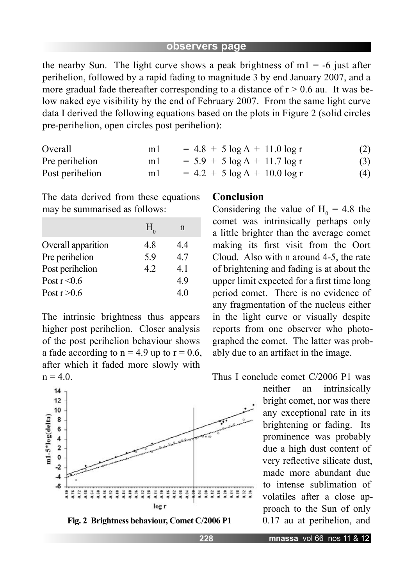the nearby Sun. The light curve shows a peak brightness of  $m1 = -6$  just after perihelion, followed by a rapid fading to magnitude 3 by end January 2007, and a more gradual fade thereafter corresponding to a distance of  $r > 0.6$  au. It was below naked eye visibility by the end of February 2007. From the same light curve data I derived the following equations based on the plots in Figure 2 (solid circles pre-perihelion, open circles post perihelion):

| Overall         | ml | $= 4.8 + 5 \log \Delta + 11.0 \log r$ | (2) |
|-----------------|----|---------------------------------------|-----|
| Pre perihelion  | ml | $= 5.9 + 5 \log \Delta + 11.7 \log r$ | (3) |
| Post perihelion | ml | $= 4.2 + 5 \log \Delta + 10.0 \log r$ | (4) |

The data derived from these equations may be summarised as follows:

|                    | $H_{0}$ | n  |
|--------------------|---------|----|
| Overall apparition | 48      | 44 |
| Pre perihelion     | 5.9     | 47 |
| Post perihelion    | 42      | 41 |
| Post $r < 0.6$     |         | 49 |
| Post $r > 0.6$     |         | 40 |

The intrinsic brightness thus appears higher post perihelion. Closer analysis of the post perihelion behaviour shows a fade according to  $n = 4.9$  up to  $r = 0.6$ , after which it faded more slowly with  $n = 4.0.$ 





#### **Conclusion**

Considering the value of  $H_0 = 4.8$  the comet was intrinsically perhaps only a little brighter than the average comet making its first visit from the Oort Cloud. Also with n around 4-5, the rate of brightening and fading is at about the upper limit expected for a first time long period comet. There is no evidence of any fragmentation of the nucleus either in the light curve or visually despite reports from one observer who photographed the comet. The latter was probably due to an artifact in the image.

Thus I conclude comet C/2006 P1 was

neither an intrinsically bright comet, nor was there any exceptional rate in its brightening or fading. Its prominence was probably due a high dust content of very reflective silicate dust, made more abundant due to intense sublimation of volatiles after a close approach to the Sun of only 0.17 au at perihelion, and